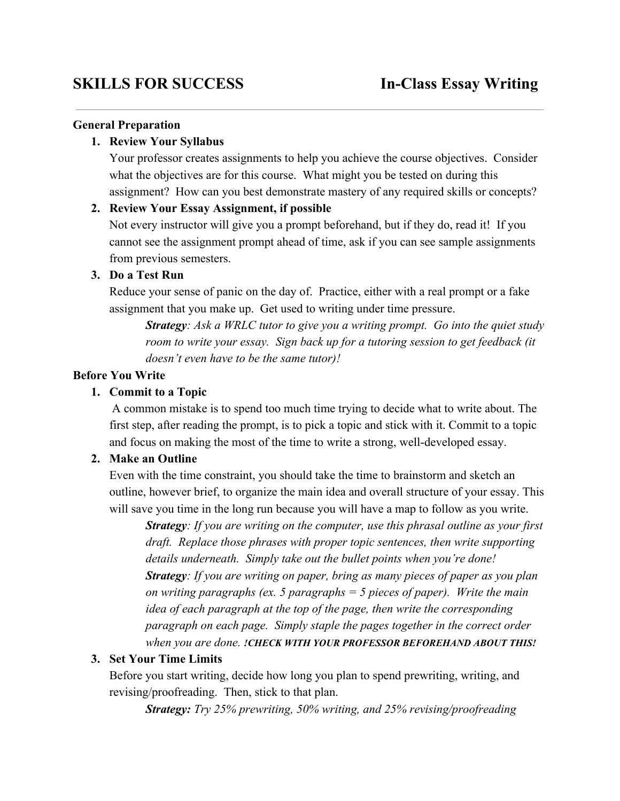#### **General Preparation**

#### **1. Review Your Syllabus**

Your professor creates assignments to help you achieve the course objectives. Consider what the objectives are for this course. What might you be tested on during this assignment? How can you best demonstrate mastery of any required skills or concepts?

#### **2. Review Your Essay Assignment, if possible**

Not every instructor will give you a prompt beforehand, but if they do, read it! If you cannot see the assignment prompt ahead of time, ask if you can see sample assignments from previous semesters.

#### **3. Do a Test Run**

Reduce your sense of panic on the day of. Practice, either with a real prompt or a fake assignment that you make up. Get used to writing under time pressure.

*Strategy: Ask a WRLC tutor to give you a writing prompt. Go into the quiet study room to write your essay. Sign back up for a tutoring session to get feedback (it doesn't even have to be the same tutor)!*

#### **Before You Write**

#### **1. Commit to a Topic**

A common mistake is to spend too much time trying to decide what to write about. The first step, after reading the prompt, is to pick a topic and stick with it. Commit to a topic and focus on making the most of the time to write a strong, well-developed essay.

#### **2. Make an Outline**

Even with the time constraint, you should take the time to brainstorm and sketch an outline, however brief, to organize the main idea and overall structure of your essay. This will save you time in the long run because you will have a map to follow as you write.

*Strategy: If you are writing on the computer, use this phrasal outline as your first draft. Replace those phrases with proper topic sentences, then write supporting details underneath. Simply take out the bullet points when you're done! Strategy: If you are writing on paper, bring as many pieces of paper as you plan on writing paragraphs (ex. 5 paragraphs = 5 pieces of paper). Write the main idea of each paragraph at the top of the page, then write the corresponding paragraph on each page. Simply staple the pages together in the correct order when you are done. !CHECK WITH YOUR PROFESSOR BEFOREHAND ABOUT THIS!*

#### **3. Set Your Time Limits**

Before you start writing, decide how long you plan to spend prewriting, writing, and revising/proofreading. Then, stick to that plan.

*Strategy: Try 25% prewriting, 50% writing, and 25% revising/proofreading*